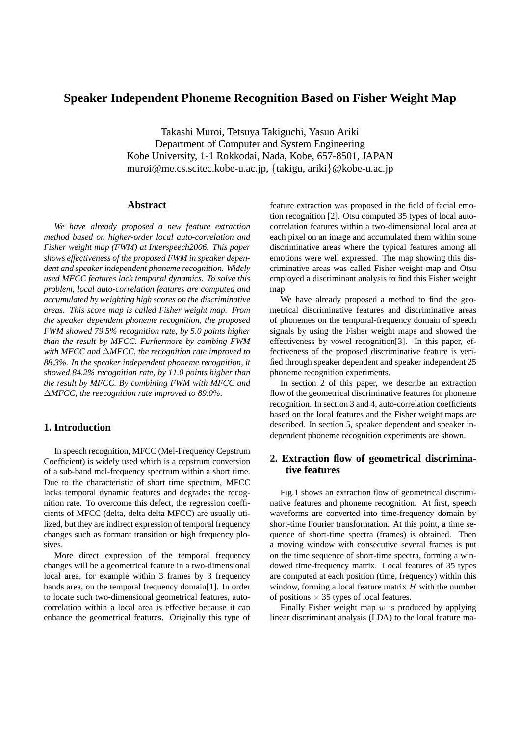# **Speaker Independent Phoneme Recognition Based on Fisher Weight Map**

Takashi Muroi, Tetsuya Takiguchi, Yasuo Ariki Department of Computer and System Engineering Kobe University, 1-1 Rokkodai, Nada, Kobe, 657-8501, JAPAN muroi@me.cs.scitec.kobe-u.ac.jp, {takigu, ariki}@kobe-u.ac.jp

### **Abstract**

*We have already proposed a new feature extraction method based on higher-order local auto-correlation and Fisher weight map (FWM) at Interspeech2006. This paper shows effectiveness of the proposed FWM in speaker dependent and speaker independent phoneme recognition. Widely used MFCC features lack temporal dynamics. To solve this problem, local auto-correlation features are computed and accumulated by weighting high scores on the discriminative areas. This score map is called Fisher weight map. From the speaker dependent phoneme recognition, the proposed FWM showed 79.5% recognition rate, by 5.0 points higher than the result by MFCC. Furhermore by combing FWM with MFCC and* ∆*MFCC, the recognition rate improved to 88.3%. In the speaker independent phoneme recognition, it showed 84.2% recognition rate, by 11.0 points higher than the result by MFCC. By combining FWM with MFCC and* ∆*MFCC, the reecognition rate improved to 89.0%.*

# **1. Introduction**

In speech recognition, MFCC (Mel-Frequency Cepstrum Coefficient) is widely used which is a cepstrum conversion of a sub-band mel-frequency spectrum within a short time. Due to the characteristic of short time spectrum, MFCC lacks temporal dynamic features and degrades the recognition rate. To overcome this defect, the regression coefficients of MFCC (delta, delta delta MFCC) are usually utilized, but they are indirect expression of temporal frequency changes such as formant transition or high frequency plosives.

More direct expression of the temporal frequency changes will be a geometrical feature in a two-dimensional local area, for example within 3 frames by 3 frequency bands area, on the temporal frequency domain[1]. In order to locate such two-dimensional geometrical features, autocorrelation within a local area is effective because it can enhance the geometrical features. Originally this type of feature extraction was proposed in the field of facial emotion recognition [2]. Otsu computed 35 types of local autocorrelation features within a two-dimensional local area at each pixel on an image and accumulated them within some discriminative areas where the typical features among all emotions were well expressed. The map showing this discriminative areas was called Fisher weight map and Otsu employed a discriminant analysis to find this Fisher weight map.

We have already proposed a method to find the geometrical discriminative features and discriminative areas of phonemes on the temporal-frequency domain of speech signals by using the Fisher weight maps and showed the effectiveness by vowel recognition[3]. In this paper, effectiveness of the proposed discriminative feature is verified through speaker dependent and speaker independent 25 phoneme recognition experiments.

In section 2 of this paper, we describe an extraction flow of the geometrical discriminative features for phoneme recognition. In section 3 and 4, auto-correlation coefficients based on the local features and the Fisher weight maps are described. In section 5, speaker dependent and speaker independent phoneme recognition experiments are shown.

# **2. Extraction flow of geometrical discriminative features**

Fig.1 shows an extraction flow of geometrical discriminative features and phoneme recognition. At first, speech waveforms are converted into time-frequency domain by short-time Fourier transformation. At this point, a time sequence of short-time spectra (frames) is obtained. Then a moving window with consecutive several frames is put on the time sequence of short-time spectra, forming a windowed time-frequency matrix. Local features of 35 types are computed at each position (time, frequency) within this window, forming a local feature matrix  $H$  with the number of positions  $\times$  35 types of local features.

Finally Fisher weight map  $w$  is produced by applying linear discriminant analysis (LDA) to the local feature ma-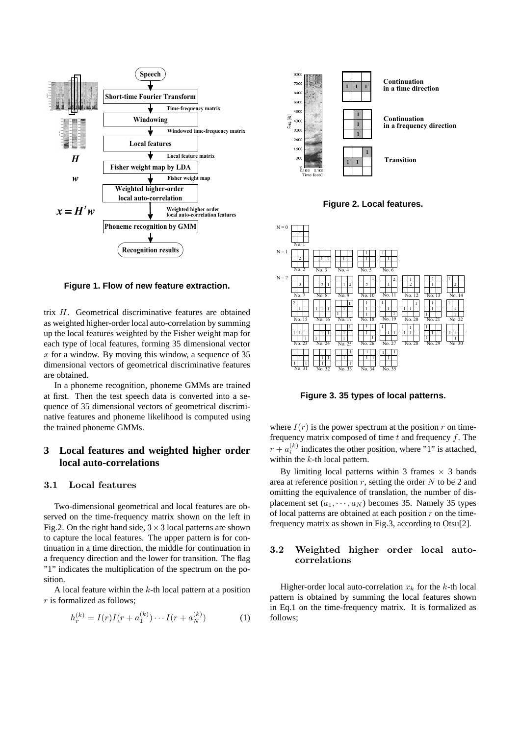

**Figure 1. Flow of new feature extraction.**

trix H. Geometrical discriminative features are obtained as weighted higher-order local auto-correlation by summing up the local features weighted by the Fisher weight map for each type of local features, forming 35 dimensional vector  $x$  for a window. By moving this window, a sequence of 35 dimensional vectors of geometrical discriminative features are obtained.

In a phoneme recognition, phoneme GMMs are trained at first. Then the test speech data is converted into a sequence of 35 dimensional vectors of geometrical discriminative features and phoneme likelihood is computed using the trained phoneme GMMs.

# **3 Local features and weighted higher order local auto-correlations**

#### 3.1 Local features

Two-dimensional geometrical and local features are observed on the time-frequency matrix shown on the left in Fig.2. On the right hand side,  $3 \times 3$  local patterns are shown to capture the local features. The upper pattern is for continuation in a time direction, the middle for continuation in a frequency direction and the lower for transition. The flag "1" indicates the multiplication of the spectrum on the position.

A local feature within the  $k$ -th local pattern at a position r is formalized as follows;

$$
h_r^{(k)} = I(r)I(r + a_1^{(k)}) \cdots I(r + a_N^{(k)})
$$
 (1)



**Figure 2. Local features.**



**Figure 3. 35 types of local patterns.**

where  $I(r)$  is the power spectrum at the position r on timefrequency matrix composed of time  $t$  and frequency  $f$ . The  $r + a_i^{(k)}$  indicates the other position, where "1" is attached, within the  $k$ -th local pattern.

By limiting local patterns within 3 frames  $\times$  3 bands area at reference position  $r$ , setting the order  $N$  to be 2 and omitting the equivalence of translation, the number of displacement set  $(a_1, \dots, a_N)$  becomes 35. Namely 35 types of local patterns are obtained at each position  $r$  on the timefrequency matrix as shown in Fig.3, according to Otsu[2].

# 3.2 Weighted higher order local autocorrelations

Higher-order local auto-correlation  $x_k$  for the k-th local pattern is obtained by summing the local features shown in Eq.1 on the time-frequency matrix. It is formalized as follows;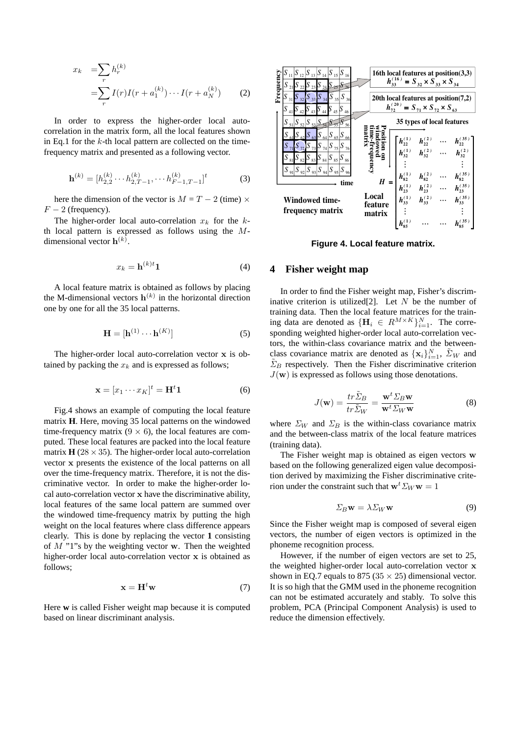$$
x_k = \sum_r h_r^{(k)}
$$
  
= 
$$
\sum_r I(r)I(r + a_1^{(k)}) \cdots I(r + a_N^{(k)})
$$
 (2)

In order to express the higher-order local autocorrelation in the matrix form, all the local features shown in Eq.1 for the  $k$ -th local pattern are collected on the timefrequency matrix and presented as a following vector.

$$
\mathbf{h}^{(k)} = [h_{2,2}^{(k)} \cdots h_{2,T-1}^{(k)}, \cdots h_{F-1,T-1}^{(k)}]^t
$$
 (3)

here the dimension of the vector is  $M = T - 2$  (time)  $\times$  $F - 2$  (frequency).

The higher-order local auto-correlation  $x_k$  for the  $k$ th local pattern is expressed as follows using the Mdimensional vector  $\mathbf{h}^{(k)}$ .

$$
x_k = \mathbf{h}^{(k)t} \mathbf{1} \tag{4}
$$

A local feature matrix is obtained as follows by placing the M-dimensional vectors  $h^{(k)}$  in the horizontal direction one by one for all the 35 local patterns.

$$
\mathbf{H} = [\mathbf{h}^{(1)} \cdots \mathbf{h}^{(K)}] \tag{5}
$$

The higher-order local auto-correlation vector x is obtained by packing the  $x_k$  and is expressed as follows;

$$
\mathbf{x} = [x_1 \cdots x_K]^t = \mathbf{H}^t \mathbf{1}
$$
 (6)

Fig.4 shows an example of computing the local feature matrix **H**. Here, moving 35 local patterns on the windowed time-frequency matrix  $(9 \times 6)$ , the local features are computed. These local features are packed into the local feature matrix  $\mathbf{H}$  (28  $\times$  35). The higher-order local auto-correlation vector x presents the existence of the local patterns on all over the time-frequency matrix. Therefore, it is not the discriminative vector. In order to make the higher-order local auto-correlation vector x have the discriminative ability, local features of the same local pattern are summed over the windowed time-frequency matrix by putting the high weight on the local features where class difference appears clearly. This is done by replacing the vector **1** consisting of  $M$  "1"s by the weighting vector w. Then the weighted higher-order local auto-correlation vector x is obtained as follows;

$$
\mathbf{x} = \mathbf{H}^t \mathbf{w} \tag{7}
$$

Here **w** is called Fisher weight map because it is computed based on linear discriminant analysis.



**Figure 4. Local feature matrix.**

# **4 Fisher weight map**

In order to find the Fisher weight map, Fisher's discriminative criterion is utilized[2]. Let  $N$  be the number of training data. Then the local feature matrices for the training data are denoted as  $\{\mathbf H_i \in R^{M \times K}\}_{i=1}^N$ . The corresponding weighted higher-order local auto-correlation vectors, the within-class covariance matrix and the betweenclass covariance matrix are denoted as  $\{x_i\}_{i=1}^N$ ,  $\tilde{\Sigma}_W$  and  $\Sigma_B$  respectively. Then the Fisher discriminative criterion  $J(\mathbf{w})$  is expressed as follows using those denotations.

$$
J(\mathbf{w}) = \frac{tr\tilde{\Sigma}_B}{tr\tilde{\Sigma}_W} = \frac{\mathbf{w}^t \Sigma_B \mathbf{w}}{\mathbf{w}^t \Sigma_W \mathbf{w}}
$$
(8)

where  $\Sigma_W$  and  $\Sigma_B$  is the within-class covariance matrix and the between-class matrix of the local feature matrices (training data).

The Fisher weight map is obtained as eigen vectors w based on the following generalized eigen value decomposition derived by maximizing the Fisher discriminative criterion under the constraint such that  $\mathbf{w}^t \Sigma_W \mathbf{w} = 1$ 

$$
\Sigma_B \mathbf{w} = \lambda \Sigma_W \mathbf{w} \tag{9}
$$

Since the Fisher weight map is composed of several eigen vectors, the number of eigen vectors is optimized in the phoneme recognition process.

However, if the number of eigen vectors are set to 25, the weighted higher-order local auto-correlation vector x shown in EQ.7 equals to 875 ( $35 \times 25$ ) dimensional vector. It is so high that the GMM used in the phoneme recognition can not be estimated accurately and stably. To solve this problem, PCA (Principal Component Analysis) is used to reduce the dimension effectively.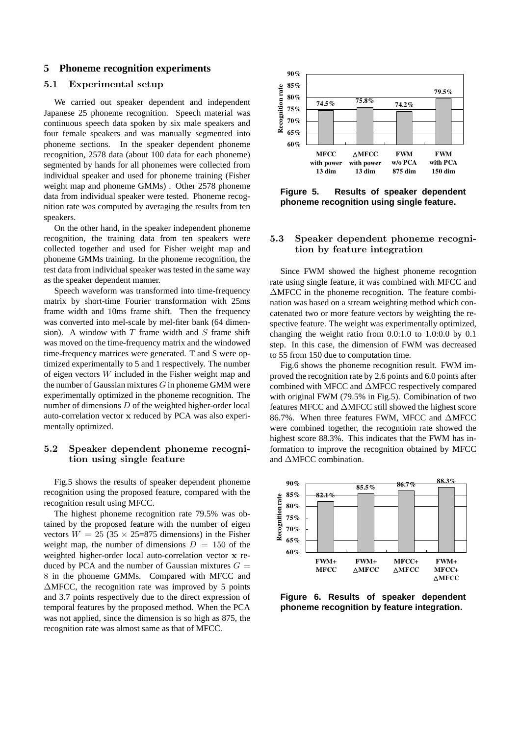#### **5 Phoneme recognition experiments**

## 5.1 Experimental setup

We carried out speaker dependent and independent Japanese 25 phoneme recognition. Speech material was continuous speech data spoken by six male speakers and four female speakers and was manually segmented into phoneme sections. In the speaker dependent phoneme recognition, 2578 data (about 100 data for each phoneme) segmented by hands for all phonemes were collected from individual speaker and used for phoneme training (Fisher weight map and phoneme GMMs) . Other 2578 phoneme data from individual speaker were tested. Phoneme recognition rate was computed by averaging the results from ten speakers.

On the other hand, in the speaker independent phoneme recognition, the training data from ten speakers were collected together and used for Fisher weight map and phoneme GMMs training. In the phoneme recognition, the test data from individual speaker was tested in the same way as the speaker dependent manner.

Speech waveform was transformed into time-frequency matrix by short-time Fourier transformation with 25ms frame width and 10ms frame shift. Then the frequency was converted into mel-scale by mel-fiter bank (64 dimension). A window with  $T$  frame width and  $S$  frame shift was moved on the time-frequency matrix and the windowed time-frequency matrices were generated. T and S were optimized experimentally to 5 and 1 respectively. The number of eigen vectors W included in the Fisher weight map and the number of Gaussian mixtures  $G$  in phoneme GMM were experimentally optimized in the phoneme recognition. The number of dimensions  $D$  of the weighted higher-order local auto-correlation vector x reduced by PCA was also experimentally optimized.

### 5.2 Speaker dependent phoneme recognition using single feature

Fig.5 shows the results of speaker dependent phoneme recognition using the proposed feature, compared with the recognition result using MFCC.

The highest phoneme recognition rate 79.5% was obtained by the proposed feature with the number of eigen vectors  $W = 25 (35 \times 25=875$  dimensions) in the Fisher weight map, the number of dimensions  $D = 150$  of the weighted higher-order local auto-correlation vector x reduced by PCA and the number of Gaussian mixtures  $G =$ 8 in the phoneme GMMs. Compared with MFCC and ∆MFCC, the recognition rate was improved by 5 points and 3.7 points respectively due to the direct expression of temporal features by the proposed method. When the PCA was not applied, since the dimension is so high as 875, the recognition rate was almost same as that of MFCC.



**Figure 5. Results of speaker dependent phoneme recognition using single feature.**

### 5.3 Speaker dependent phoneme recognition by feature integration

Since FWM showed the highest phoneme recogntion rate using single feature, it was combined with MFCC and ∆MFCC in the phoneme recognition. The feature combination was based on a stream weighting method which concatenated two or more feature vectors by weighting the respective feature. The weight was experimentally optimized, changing the weight ratio from 0.0:1.0 to 1.0:0.0 by 0.1 step. In this case, the dimension of FWM was decreased to 55 from 150 due to computation time.

Fig.6 shows the phoneme recognition result. FWM improved the recognition rate by 2.6 points and 6.0 points after combined with MFCC and ∆MFCC respectively compared with original FWM (79.5% in Fig.5). Comibination of two features MFCC and ∆MFCC still showed the highest score 86.7%. When three features FWM, MFCC and ∆MFCC were combined together, the recogntioin rate showed the highest score 88.3%. This indicates that the FWM has information to improve the recognition obtained by MFCC and ∆MFCC combination.



**Figure 6. Results of speaker dependent phoneme recognition by feature integration.**